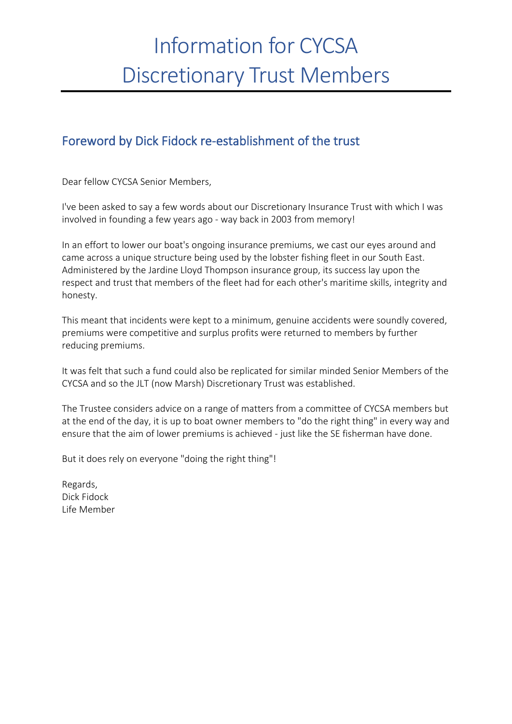# Information for CYCSA Discretionary Trust Members

### Foreword by Dick Fidock re-establishment of the trust

Dear fellow CYCSA Senior Members,

I've been asked to say a few words about our Discretionary Insurance Trust with which I was involved in founding a few years ago - way back in 2003 from memory!

In an effort to lower our boat's ongoing insurance premiums, we cast our eyes around and came across a unique structure being used by the lobster fishing fleet in our South East. Administered by the Jardine Lloyd Thompson insurance group, its success lay upon the respect and trust that members of the fleet had for each other's maritime skills, integrity and honesty.

This meant that incidents were kept to a minimum, genuine accidents were soundly covered, premiums were competitive and surplus profits were returned to members by further reducing premiums.

It was felt that such a fund could also be replicated for similar minded Senior Members of the CYCSA and so the JLT (now Marsh) Discretionary Trust was established.

The Trustee considers advice on a range of matters from a committee of CYCSA members but at the end of the day, it is up to boat owner members to "do the right thing" in every way and ensure that the aim of lower premiums is achieved - just like the SE fisherman have done.

But it does rely on everyone "doing the right thing"!

Regards, Dick Fidock Life Member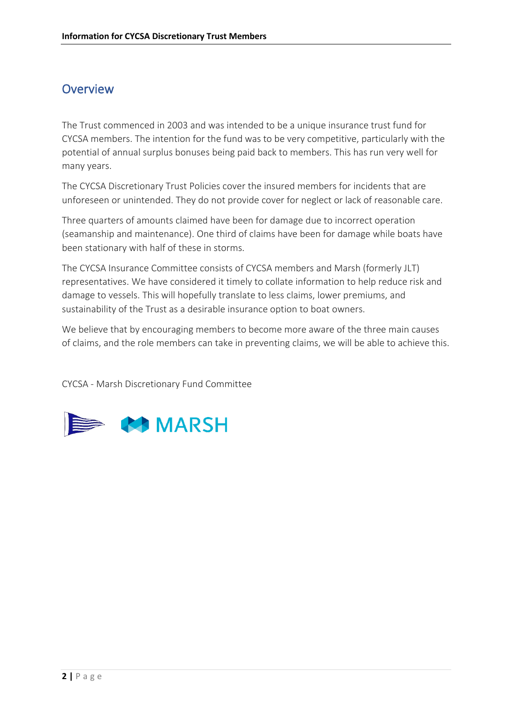#### **Overview**

The Trust commenced in 2003 and was intended to be a unique insurance trust fund for CYCSA members. The intention for the fund was to be very competitive, particularly with the potential of annual surplus bonuses being paid back to members. This has run very well for many years.

The CYCSA Discretionary Trust Policies cover the insured members for incidents that are unforeseen or unintended. They do not provide cover for neglect or lack of reasonable care.

Three quarters of amounts claimed have been for damage due to incorrect operation (seamanship and maintenance). One third of claims have been for damage while boats have been stationary with half of these in storms.

The CYCSA Insurance Committee consists of CYCSA members and Marsh (formerly JLT) representatives. We have considered it timely to collate information to help reduce risk and damage to vessels. This will hopefully translate to less claims, lower premiums, and sustainability of the Trust as a desirable insurance option to boat owners.

We believe that by encouraging members to become more aware of the three main causes of claims, and the role members can take in preventing claims, we will be able to achieve this.

CYCSA - Marsh Discretionary Fund Committee

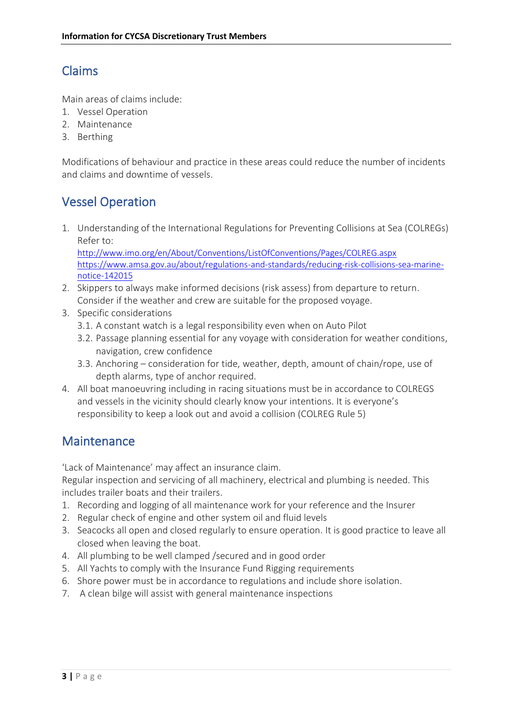## Claims

Main areas of claims include:

- 1. Vessel Operation
- 2. Maintenance
- 3. Berthing

Modifications of behaviour and practice in these areas could reduce the number of incidents and claims and downtime of vessels.

## Vessel Operation

1. Understanding of the International Regulations for Preventing Collisions at Sea (COLREGs) Refer to:

<http://www.imo.org/en/About/Conventions/ListOfConventions/Pages/COLREG.aspx> [https://www.amsa.gov.au/about/regulations-and-standards/reducing-risk-collisions-sea-marine](https://www.amsa.gov.au/about/regulations-and-standards/reducing-risk-collisions-sea-marine-notice-142015)[notice-142015](https://www.amsa.gov.au/about/regulations-and-standards/reducing-risk-collisions-sea-marine-notice-142015)

- 2. Skippers to always make informed decisions (risk assess) from departure to return. Consider if the weather and crew are suitable for the proposed voyage.
- 3. Specific considerations
	- 3.1. A constant watch is a legal responsibility even when on Auto Pilot
	- 3.2. Passage planning essential for any voyage with consideration for weather conditions, navigation, crew confidence
	- 3.3. Anchoring consideration for tide, weather, depth, amount of chain/rope, use of depth alarms, type of anchor required.
- 4. All boat manoeuvring including in racing situations must be in accordance to COLREGS and vessels in the vicinity should clearly know your intentions. It is everyone's responsibility to keep a look out and avoid a collision (COLREG Rule 5)

#### Maintenance

'Lack of Maintenance' may affect an insurance claim.

Regular inspection and servicing of all machinery, electrical and plumbing is needed. This includes trailer boats and their trailers.

- 1. Recording and logging of all maintenance work for your reference and the Insurer
- 2. Regular check of engine and other system oil and fluid levels
- 3. Seacocks all open and closed regularly to ensure operation. It is good practice to leave all closed when leaving the boat.
- 4. All plumbing to be well clamped /secured and in good order
- 5. All Yachts to comply with the Insurance Fund Rigging requirements
- 6. Shore power must be in accordance to regulations and include shore isolation.
- 7. A clean bilge will assist with general maintenance inspections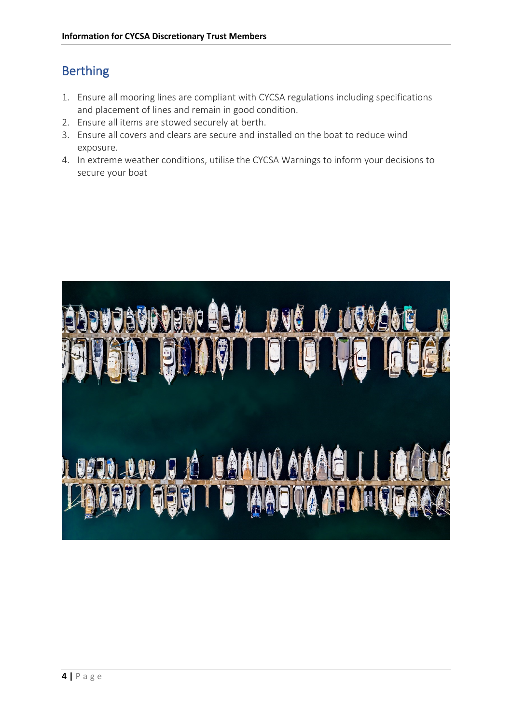## Berthing

- 1. Ensure all mooring lines are compliant with CYCSA regulations including specifications and placement of lines and remain in good condition.
- 2. Ensure all items are stowed securely at berth.
- 3. Ensure all covers and clears are secure and installed on the boat to reduce wind exposure.
- 4. In extreme weather conditions, utilise the CYCSA Warnings to inform your decisions to secure your boat

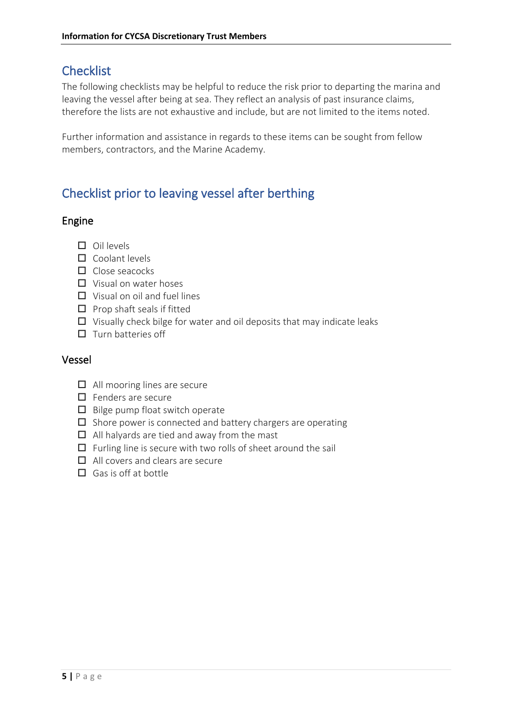## **Checklist**

The following checklists may be helpful to reduce the risk prior to departing the marina and leaving the vessel after being at sea. They reflect an analysis of past insurance claims, therefore the lists are not exhaustive and include, but are not limited to the items noted.

Further information and assistance in regards to these items can be sought from fellow members, contractors, and the Marine Academy.

# Checklist prior to leaving vessel after berthing

#### Engine

- $\square$  Oil levels
- $\Box$  Coolant levels
- $\Pi$  Close seacocks
- $\Box$  Visual on water hoses
- $\Box$  Visual on oil and fuel lines
- $\square$  Prop shaft seals if fitted
- $\Box$  Visually check bilge for water and oil deposits that may indicate leaks
- $\square$  Turn batteries off

#### Vessel

- $\Box$  All mooring lines are secure
- $\Box$  Fenders are secure
- $\Box$  Bilge pump float switch operate
- $\square$  Shore power is connected and battery chargers are operating
- $\Box$  All halyards are tied and away from the mast
- $\Box$  Furling line is secure with two rolls of sheet around the sail
- $\Box$  All covers and clears are secure
- $\Box$  Gas is off at bottle